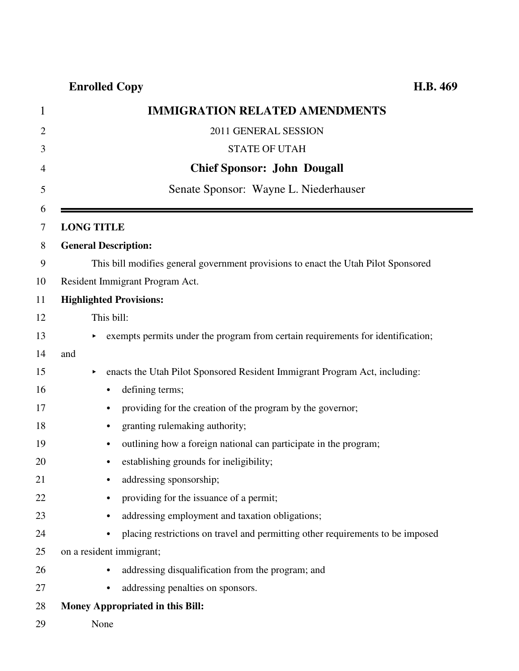| 1              | <b>IMMIGRATION RELATED AMENDMENTS</b>                                                       |
|----------------|---------------------------------------------------------------------------------------------|
| $\overline{2}$ | 2011 GENERAL SESSION                                                                        |
| 3              | <b>STATE OF UTAH</b>                                                                        |
| 4              | <b>Chief Sponsor: John Dougall</b>                                                          |
| 5              | Senate Sponsor: Wayne L. Niederhauser                                                       |
| 6<br>7         | <b>LONG TITLE</b>                                                                           |
| 8              | <b>General Description:</b>                                                                 |
| 9              | This bill modifies general government provisions to enact the Utah Pilot Sponsored          |
| 10             | Resident Immigrant Program Act.                                                             |
| 11             | <b>Highlighted Provisions:</b>                                                              |
| 12             | This bill:                                                                                  |
| 13             | exempts permits under the program from certain requirements for identification;             |
| 14             | and                                                                                         |
| 15             | enacts the Utah Pilot Sponsored Resident Immigrant Program Act, including:<br>▶             |
| 16             | defining terms;<br>$\bullet$                                                                |
| 17             | providing for the creation of the program by the governor;<br>٠                             |
| 18             | granting rulemaking authority;<br>$\bullet$                                                 |
| 19             | outlining how a foreign national can participate in the program;<br>$\bullet$               |
| 20             | establishing grounds for ineligibility;<br>$\bullet$                                        |
| 21             | addressing sponsorship;                                                                     |
| 22             | providing for the issuance of a permit;                                                     |
| 23             | addressing employment and taxation obligations;                                             |
| 24             | placing restrictions on travel and permitting other requirements to be imposed<br>$\bullet$ |
| 25             | on a resident immigrant;                                                                    |
| 26             | addressing disqualification from the program; and<br>$\bullet$                              |
| 27             | addressing penalties on sponsors.<br>$\bullet$                                              |
| 28             | Money Appropriated in this Bill:                                                            |

29 None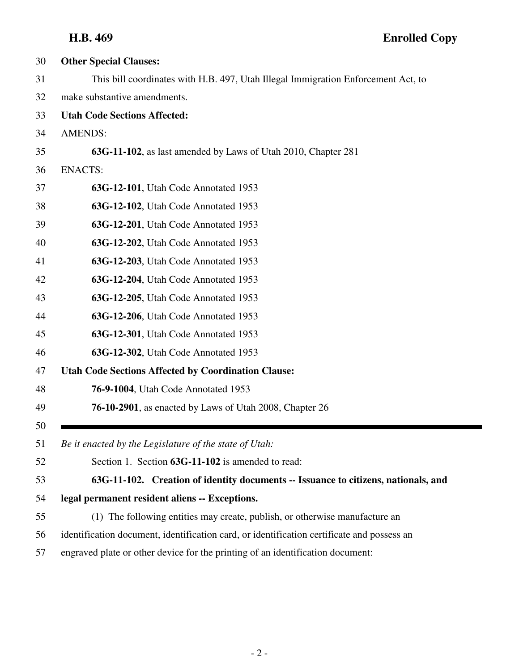| 30 | <b>Other Special Clauses:</b>                                                              |
|----|--------------------------------------------------------------------------------------------|
| 31 | This bill coordinates with H.B. 497, Utah Illegal Immigration Enforcement Act, to          |
| 32 | make substantive amendments.                                                               |
| 33 | <b>Utah Code Sections Affected:</b>                                                        |
| 34 | <b>AMENDS:</b>                                                                             |
| 35 | 63G-11-102, as last amended by Laws of Utah 2010, Chapter 281                              |
| 36 | <b>ENACTS:</b>                                                                             |
| 37 | 63G-12-101, Utah Code Annotated 1953                                                       |
| 38 | 63G-12-102, Utah Code Annotated 1953                                                       |
| 39 | 63G-12-201, Utah Code Annotated 1953                                                       |
| 40 | 63G-12-202, Utah Code Annotated 1953                                                       |
| 41 | 63G-12-203, Utah Code Annotated 1953                                                       |
| 42 | 63G-12-204, Utah Code Annotated 1953                                                       |
| 43 | 63G-12-205, Utah Code Annotated 1953                                                       |
| 44 | 63G-12-206, Utah Code Annotated 1953                                                       |
| 45 | 63G-12-301, Utah Code Annotated 1953                                                       |
| 46 | 63G-12-302, Utah Code Annotated 1953                                                       |
| 47 | <b>Utah Code Sections Affected by Coordination Clause:</b>                                 |
| 48 | <b>76-9-1004</b> , Utah Code Annotated 1953                                                |
| 49 | <b>76-10-2901</b> , as enacted by Laws of Utah 2008, Chapter 26                            |
| 50 |                                                                                            |
| 51 | Be it enacted by the Legislature of the state of Utah:                                     |
| 52 | Section 1. Section 63G-11-102 is amended to read:                                          |
| 53 | 63G-11-102. Creation of identity documents -- Issuance to citizens, nationals, and         |
| 54 | legal permanent resident aliens -- Exceptions.                                             |
| 55 | (1) The following entities may create, publish, or otherwise manufacture an                |
| 56 | identification document, identification card, or identification certificate and possess an |
| 57 | engraved plate or other device for the printing of an identification document:             |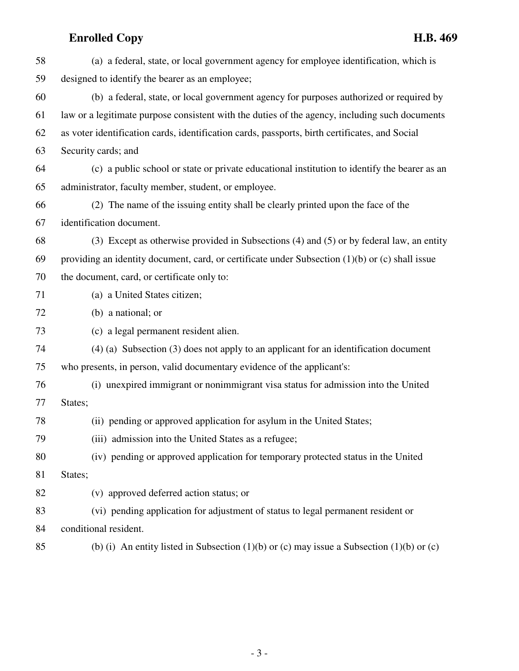| 58 | (a) a federal, state, or local government agency for employee identification, which is              |
|----|-----------------------------------------------------------------------------------------------------|
| 59 | designed to identify the bearer as an employee;                                                     |
| 60 | (b) a federal, state, or local government agency for purposes authorized or required by             |
| 61 | law or a legitimate purpose consistent with the duties of the agency, including such documents      |
| 62 | as voter identification cards, identification cards, passports, birth certificates, and Social      |
| 63 | Security cards; and                                                                                 |
| 64 | (c) a public school or state or private educational institution to identify the bearer as an        |
| 65 | administrator, faculty member, student, or employee.                                                |
| 66 | (2) The name of the issuing entity shall be clearly printed upon the face of the                    |
| 67 | identification document.                                                                            |
| 68 | (3) Except as otherwise provided in Subsections (4) and (5) or by federal law, an entity            |
| 69 | providing an identity document, card, or certificate under Subsection $(1)(b)$ or $(c)$ shall issue |
| 70 | the document, card, or certificate only to:                                                         |
| 71 | (a) a United States citizen;                                                                        |
| 72 | (b) a national; or                                                                                  |
| 73 | (c) a legal permanent resident alien.                                                               |
| 74 | $(4)$ (a) Subsection (3) does not apply to an applicant for an identification document              |
| 75 | who presents, in person, valid documentary evidence of the applicant's:                             |
| 76 | (i) unexpired immigrant or nonimmigrant visa status for admission into the United                   |
| 77 | States;                                                                                             |
| 78 | (ii) pending or approved application for asylum in the United States;                               |
| 79 | (iii) admission into the United States as a refugee;                                                |
| 80 | (iv) pending or approved application for temporary protected status in the United                   |
| 81 | States;                                                                                             |
| 82 | (v) approved deferred action status; or                                                             |
| 83 | (vi) pending application for adjustment of status to legal permanent resident or                    |
| 84 | conditional resident.                                                                               |
| 85 | (b) (i) An entity listed in Subsection (1)(b) or (c) may issue a Subsection (1)(b) or (c)           |

- 3 -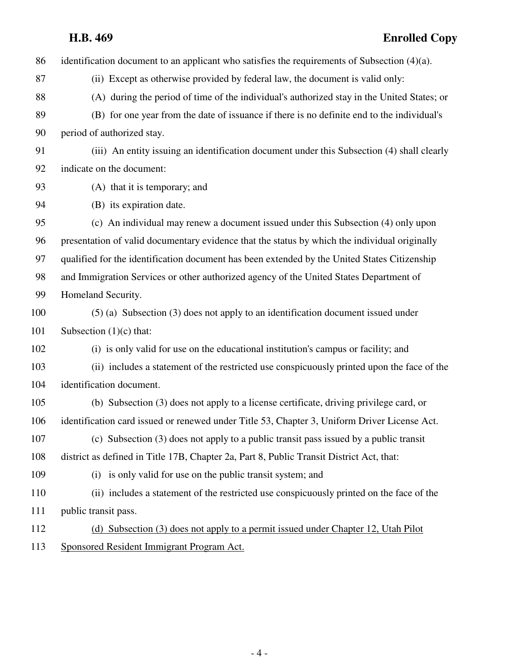86 identification document to an applicant who satisfies the requirements of Subsection (4)(a).

- 87 (ii) Except as otherwise provided by federal law, the document is valid only:
- 88 (A) during the period of time of the individual's authorized stay in the United States; or
- 89 (B) for one year from the date of issuance if there is no definite end to the individual's 90 period of authorized stay.
- 91 (iii) An entity issuing an identification document under this Subsection (4) shall clearly 92 indicate on the document:
- 93 (A) that it is temporary; and
- 94 (B) its expiration date.

95 (c) An individual may renew a document issued under this Subsection (4) only upon 96 presentation of valid documentary evidence that the status by which the individual originally 97 qualified for the identification document has been extended by the United States Citizenship 98 and Immigration Services or other authorized agency of the United States Department of 99 Homeland Security.

- 100 (5) (a) Subsection (3) does not apply to an identification document issued under 101 Subsection (1)(c) that:
- 102 (i) is only valid for use on the educational institution's campus or facility; and
- 103 (ii) includes a statement of the restricted use conspicuously printed upon the face of the 104 identification document.
- 105 (b) Subsection (3) does not apply to a license certificate, driving privilege card, or 106 identification card issued or renewed under Title 53, Chapter 3, Uniform Driver License Act.
- 107 (c) Subsection (3) does not apply to a public transit pass issued by a public transit 108 district as defined in Title 17B, Chapter 2a, Part 8, Public Transit District Act, that:
- 109 (i) is only valid for use on the public transit system; and
- 110 (ii) includes a statement of the restricted use conspicuously printed on the face of the 111 public transit pass.
- - 112 (d) Subsection (3) does not apply to a permit issued under Chapter 12, Utah Pilot 113 Sponsored Resident Immigrant Program Act.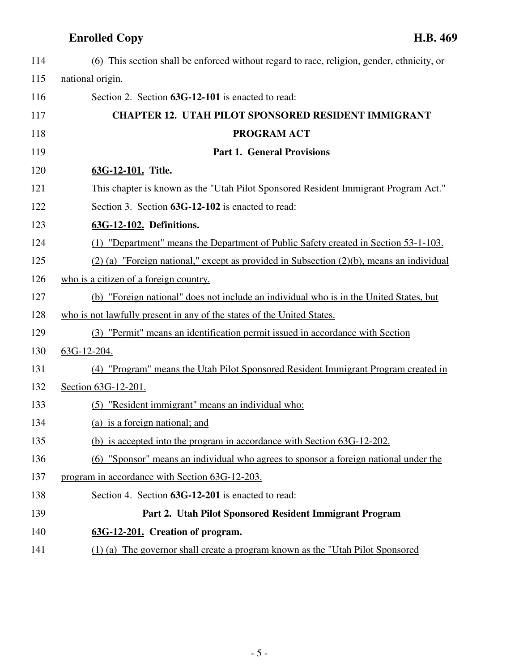| 114 | (6) This section shall be enforced without regard to race, religion, gender, ethnicity, or    |
|-----|-----------------------------------------------------------------------------------------------|
| 115 | national origin.                                                                              |
| 116 | Section 2. Section 63G-12-101 is enacted to read:                                             |
| 117 | <b>CHAPTER 12. UTAH PILOT SPONSORED RESIDENT IMMIGRANT</b>                                    |
| 118 | <b>PROGRAM ACT</b>                                                                            |
| 119 | <b>Part 1. General Provisions</b>                                                             |
| 120 | 63G-12-101. Title.                                                                            |
| 121 | This chapter is known as the "Utah Pilot Sponsored Resident Immigrant Program Act."           |
| 122 | Section 3. Section 63G-12-102 is enacted to read:                                             |
| 123 | 63G-12-102. Definitions.                                                                      |
| 124 | (1) "Department" means the Department of Public Safety created in Section 53-1-103.           |
| 125 | $(2)$ (a) "Foreign national," except as provided in Subsection $(2)(b)$ , means an individual |
| 126 | who is a citizen of a foreign country.                                                        |
| 127 | (b) "Foreign national" does not include an individual who is in the United States, but        |
| 128 | who is not lawfully present in any of the states of the United States.                        |
| 129 | (3) "Permit" means an identification permit issued in accordance with Section                 |
| 130 | 63G-12-204.                                                                                   |
| 131 | (4) "Program" means the Utah Pilot Sponsored Resident Immigrant Program created in            |
| 132 | Section 63G-12-201.                                                                           |
| 133 | (5) "Resident immigrant" means an individual who:                                             |
| 134 | (a) is a foreign national; and                                                                |
| 135 | (b) is accepted into the program in accordance with Section 63G-12-202.                       |
| 136 | (6) "Sponsor" means an individual who agrees to sponsor a foreign national under the          |
| 137 | program in accordance with Section 63G-12-203.                                                |
| 138 | Section 4. Section 63G-12-201 is enacted to read:                                             |
| 139 | Part 2. Utah Pilot Sponsored Resident Immigrant Program                                       |
| 140 | 63G-12-201. Creation of program.                                                              |
| 141 | (1) (a) The governor shall create a program known as the "Utah Pilot Sponsored                |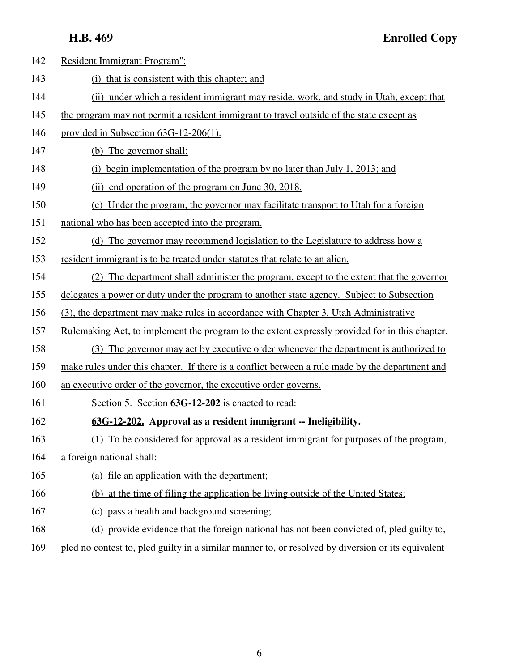| 142 | Resident Immigrant Program":                                                                       |
|-----|----------------------------------------------------------------------------------------------------|
| 143 | (i) that is consistent with this chapter; and                                                      |
| 144 | (ii) under which a resident immigrant may reside, work, and study in Utah, except that             |
| 145 | the program may not permit a resident immigrant to travel outside of the state except as           |
| 146 | provided in Subsection 63G-12-206(1).                                                              |
| 147 | (b) The governor shall:                                                                            |
| 148 | (i) begin implementation of the program by no later than July 1, 2013; and                         |
| 149 | (ii) end operation of the program on June 30, 2018.                                                |
| 150 | (c) Under the program, the governor may facilitate transport to Utah for a foreign                 |
| 151 | national who has been accepted into the program.                                                   |
| 152 | (d) The governor may recommend legislation to the Legislature to address how a                     |
| 153 | resident immigrant is to be treated under statutes that relate to an alien.                        |
| 154 | (2) The department shall administer the program, except to the extent that the governor            |
| 155 | delegates a power or duty under the program to another state agency. Subject to Subsection         |
| 156 | (3), the department may make rules in accordance with Chapter 3, Utah Administrative               |
| 157 | Rulemaking Act, to implement the program to the extent expressly provided for in this chapter.     |
| 158 | (3) The governor may act by executive order whenever the department is authorized to               |
| 159 | make rules under this chapter. If there is a conflict between a rule made by the department and    |
| 160 | an executive order of the governor, the executive order governs.                                   |
| 161 | Section 5. Section 63G-12-202 is enacted to read:                                                  |
| 162 | 63G-12-202. Approval as a resident immigrant -- Ineligibility.                                     |
| 163 | (1) To be considered for approval as a resident immigrant for purposes of the program.             |
| 164 | a foreign national shall:                                                                          |
| 165 | (a) file an application with the department;                                                       |
| 166 | (b) at the time of filing the application be living outside of the United States;                  |
| 167 | (c) pass a health and background screening;                                                        |
| 168 | (d) provide evidence that the foreign national has not been convicted of, pled guilty to,          |
| 169 | pled no contest to, pled guilty in a similar manner to, or resolved by diversion or its equivalent |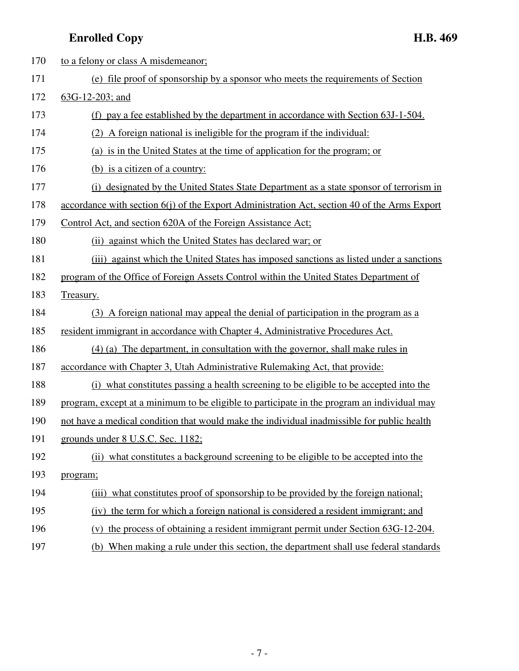| 170 | to a felony or class A misdemeanor;                                                          |
|-----|----------------------------------------------------------------------------------------------|
| 171 | (e) file proof of sponsorship by a sponsor who meets the requirements of Section             |
| 172 | $63G-12-203$ ; and                                                                           |
| 173 | (f) pay a fee established by the department in accordance with Section 63J-1-504.            |
| 174 | (2) A foreign national is ineligible for the program if the individual:                      |
| 175 | (a) is in the United States at the time of application for the program; or                   |
| 176 | (b) is a citizen of a country:                                                               |
| 177 | (i) designated by the United States State Department as a state sponsor of terrorism in      |
| 178 | accordance with section 6(j) of the Export Administration Act, section 40 of the Arms Export |
| 179 | Control Act, and section 620A of the Foreign Assistance Act;                                 |
| 180 | (ii) against which the United States has declared war; or                                    |
| 181 | (iii) against which the United States has imposed sanctions as listed under a sanctions      |
| 182 | program of the Office of Foreign Assets Control within the United States Department of       |
| 183 | Treasury.                                                                                    |
| 184 | (3) A foreign national may appeal the denial of participation in the program as a            |
| 185 | resident immigrant in accordance with Chapter 4, Administrative Procedures Act.              |
| 186 | $(4)$ (a) The department, in consultation with the governor, shall make rules in             |
| 187 | accordance with Chapter 3, Utah Administrative Rulemaking Act, that provide:                 |
| 188 | (i) what constitutes passing a health screening to be eligible to be accepted into the       |
| 189 | program, except at a minimum to be eligible to participate in the program an individual may  |
| 190 | not have a medical condition that would make the individual inadmissible for public health   |
| 191 | grounds under 8 U.S.C. Sec. 1182;                                                            |
| 192 | (ii) what constitutes a background screening to be eligible to be accepted into the          |
| 193 | program;                                                                                     |
| 194 | (iii) what constitutes proof of sponsorship to be provided by the foreign national;          |
| 195 | the term for which a foreign national is considered a resident immigrant; and<br>(iv)        |
| 196 | the process of obtaining a resident immigrant permit under Section 63G-12-204.<br>(v)        |
| 197 | (b) When making a rule under this section, the department shall use federal standards        |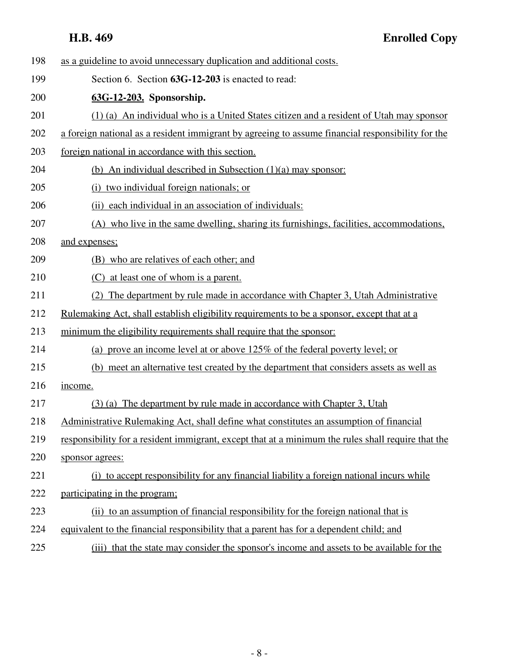| 198 | as a guideline to avoid unnecessary duplication and additional costs.                              |
|-----|----------------------------------------------------------------------------------------------------|
| 199 | Section 6. Section 63G-12-203 is enacted to read:                                                  |
| 200 | 63G-12-203. Sponsorship.                                                                           |
| 201 | (1) (a) An individual who is a United States citizen and a resident of Utah may sponsor            |
| 202 | a foreign national as a resident immigrant by agreeing to assume financial responsibility for the  |
| 203 | foreign national in accordance with this section.                                                  |
| 204 | (b) An individual described in Subsection $(1)(a)$ may sponsor:                                    |
| 205 | (i) two individual foreign nationals; or                                                           |
| 206 | (ii) each individual in an association of individuals:                                             |
| 207 | (A) who live in the same dwelling, sharing its furnishings, facilities, accommodations,            |
| 208 | and expenses;                                                                                      |
| 209 | (B) who are relatives of each other; and                                                           |
| 210 | (C) at least one of whom is a parent.                                                              |
| 211 | (2) The department by rule made in accordance with Chapter 3, Utah Administrative                  |
| 212 | Rulemaking Act, shall establish eligibility requirements to be a sponsor, except that at a         |
| 213 | minimum the eligibility requirements shall require that the sponsor:                               |
| 214 | (a) prove an income level at or above 125% of the federal poverty level; or                        |
| 215 | (b) meet an alternative test created by the department that considers assets as well as            |
| 216 | income.                                                                                            |
| 217 | (3) (a) The department by rule made in accordance with Chapter 3, Utah                             |
| 218 | Administrative Rulemaking Act, shall define what constitutes an assumption of financial            |
| 219 | responsibility for a resident immigrant, except that at a minimum the rules shall require that the |
| 220 | sponsor agrees:                                                                                    |
| 221 | (i) to accept responsibility for any financial liability a foreign national incurs while           |
| 222 | participating in the program:                                                                      |
| 223 | (ii) to an assumption of financial responsibility for the foreign national that is                 |
| 224 | equivalent to the financial responsibility that a parent has for a dependent child; and            |
| 225 | that the state may consider the sponsor's income and assets to be available for the<br>(iii)       |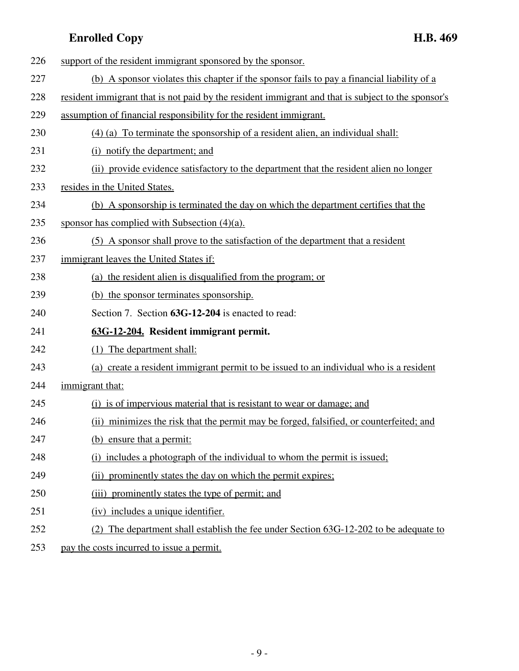| 226 | support of the resident immigrant sponsored by the sponsor.                                        |
|-----|----------------------------------------------------------------------------------------------------|
| 227 | (b) A sponsor violates this chapter if the sponsor fails to pay a financial liability of a         |
| 228 | resident immigrant that is not paid by the resident immigrant and that is subject to the sponsor's |
| 229 | assumption of financial responsibility for the resident immigrant.                                 |
| 230 | $(4)$ (a) To terminate the sponsorship of a resident alien, an individual shall:                   |
| 231 | (i) notify the department; and                                                                     |
| 232 | (ii) provide evidence satisfactory to the department that the resident alien no longer             |
| 233 | resides in the United States.                                                                      |
| 234 | (b) A sponsorship is terminated the day on which the department certifies that the                 |
| 235 | sponsor has complied with Subsection $(4)(a)$ .                                                    |
| 236 | (5) A sponsor shall prove to the satisfaction of the department that a resident                    |
| 237 | immigrant leaves the United States if:                                                             |
| 238 | (a) the resident alien is disqualified from the program; or                                        |
| 239 | (b) the sponsor terminates sponsorship.                                                            |
| 240 | Section 7. Section 63G-12-204 is enacted to read:                                                  |
| 241 | 63G-12-204. Resident immigrant permit.                                                             |
| 242 | (1) The department shall:                                                                          |
| 243 | (a) create a resident immigrant permit to be issued to an individual who is a resident             |
| 244 | immigrant that:                                                                                    |
| 245 | (i) is of impervious material that is resistant to wear or damage; and                             |
| 246 | (ii) minimizes the risk that the permit may be forged, falsified, or counterfeited; and            |
| 247 | (b) ensure that a permit:                                                                          |
| 248 | (i) includes a photograph of the individual to whom the permit is issued;                          |
| 249 | (ii) prominently states the day on which the permit expires;                                       |
| 250 | (iii) prominently states the type of permit; and                                                   |
| 251 | (iv) includes a unique identifier.                                                                 |
| 252 | The department shall establish the fee under Section 63G-12-202 to be adequate to<br>(2)           |
|     |                                                                                                    |

253 pay the costs incurred to issue a permit.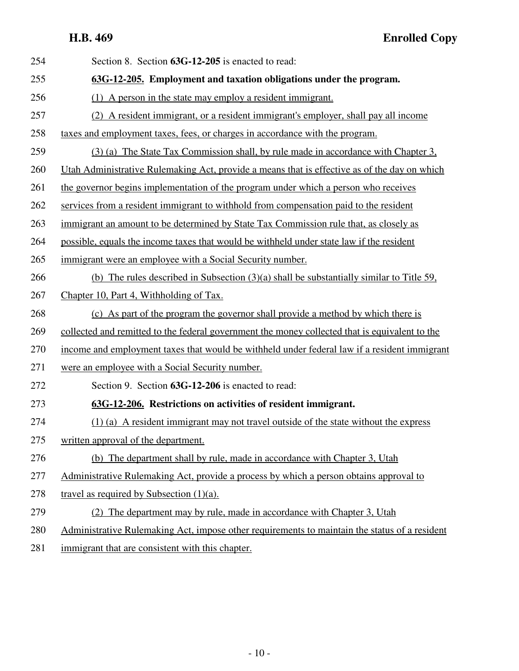**H.B. 469 Enrolled Copy**

| 254 | Section 8. Section 63G-12-205 is enacted to read:                                              |
|-----|------------------------------------------------------------------------------------------------|
| 255 | 63G-12-205. Employment and taxation obligations under the program.                             |
| 256 | (1) A person in the state may employ a resident immigrant.                                     |
| 257 | (2) A resident immigrant, or a resident immigrant's employer, shall pay all income             |
| 258 | taxes and employment taxes, fees, or charges in accordance with the program.                   |
| 259 | (3) (a) The State Tax Commission shall, by rule made in accordance with Chapter 3,             |
| 260 | Utah Administrative Rulemaking Act, provide a means that is effective as of the day on which   |
| 261 | the governor begins implementation of the program under which a person who receives            |
| 262 | services from a resident immigrant to withhold from compensation paid to the resident          |
| 263 | immigrant an amount to be determined by State Tax Commission rule that, as closely as          |
| 264 | possible, equals the income taxes that would be withheld under state law if the resident       |
| 265 | immigrant were an employee with a Social Security number.                                      |
| 266 | (b) The rules described in Subsection $(3)(a)$ shall be substantially similar to Title 59,     |
| 267 | Chapter 10, Part 4, Withholding of Tax.                                                        |
| 268 | (c) As part of the program the governor shall provide a method by which there is               |
| 269 | collected and remitted to the federal government the money collected that is equivalent to the |
| 270 | income and employment taxes that would be withheld under federal law if a resident immigrant   |
| 271 | were an employee with a Social Security number.                                                |
| 272 | Section 9. Section 63G-12-206 is enacted to read:                                              |
| 273 | 63G-12-206. Restrictions on activities of resident immigrant.                                  |
| 274 | $(1)$ (a) A resident immigrant may not travel outside of the state without the express         |
| 275 | written approval of the department.                                                            |
| 276 | (b) The department shall by rule, made in accordance with Chapter 3, Utah                      |
| 277 | Administrative Rulemaking Act, provide a process by which a person obtains approval to         |
| 278 | travel as required by Subsection $(1)(a)$ .                                                    |
| 279 | The department may by rule, made in accordance with Chapter 3, Utah<br>(2)                     |
| 280 | Administrative Rulemaking Act, impose other requirements to maintain the status of a resident  |
| 281 | immigrant that are consistent with this chapter.                                               |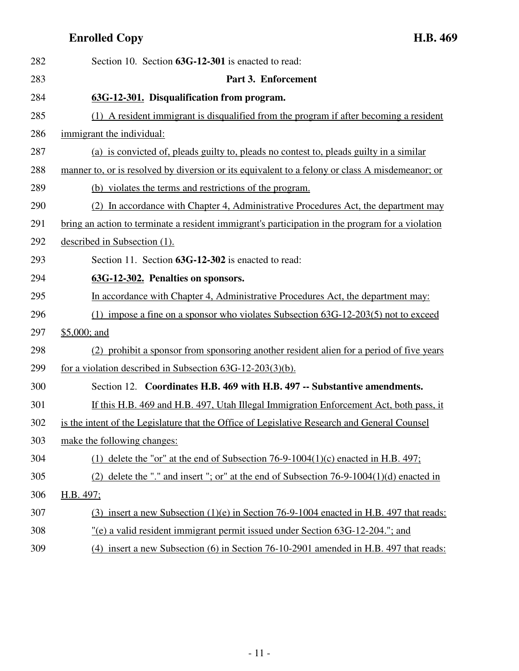| 282 | Section 10. Section 63G-12-301 is enacted to read:                                               |
|-----|--------------------------------------------------------------------------------------------------|
| 283 | Part 3. Enforcement                                                                              |
| 284 | 63G-12-301. Disqualification from program.                                                       |
| 285 | (1) A resident immigrant is disqualified from the program if after becoming a resident           |
| 286 | immigrant the individual:                                                                        |
| 287 | (a) is convicted of, pleads guilty to, pleads no contest to, pleads guilty in a similar          |
| 288 | manner to, or is resolved by diversion or its equivalent to a felony or class A misdemeanor; or  |
| 289 | (b) violates the terms and restrictions of the program.                                          |
| 290 | (2) In accordance with Chapter 4, Administrative Procedures Act, the department may              |
| 291 | bring an action to terminate a resident immigrant's participation in the program for a violation |
| 292 | described in Subsection (1).                                                                     |
| 293 | Section 11. Section 63G-12-302 is enacted to read:                                               |
| 294 | 63G-12-302. Penalties on sponsors.                                                               |
| 295 | In accordance with Chapter 4, Administrative Procedures Act, the department may:                 |
| 296 | (1) impose a fine on a sponsor who violates Subsection $63G-12-203(5)$ not to exceed             |
| 297 | $$5,000;$ and                                                                                    |
| 298 | (2) prohibit a sponsor from sponsoring another resident alien for a period of five years         |
| 299 | for a violation described in Subsection $63G-12-203(3)(b)$ .                                     |
| 300 | Section 12. Coordinates H.B. 469 with H.B. 497 -- Substantive amendments.                        |
| 301 | If this H.B. 469 and H.B. 497, Utah Illegal Immigration Enforcement Act, both pass, it           |
| 302 | is the intent of the Legislature that the Office of Legislative Research and General Counsel     |
| 303 | make the following changes:                                                                      |
| 304 | (1) delete the "or" at the end of Subsection 76-9-1004(1)(c) enacted in H.B. $497$ ;             |
| 305 | (2) delete the "." and insert "; or" at the end of Subsection $76-9-1004(1)(d)$ enacted in       |
| 306 | H.B. 497;                                                                                        |
| 307 | (3) insert a new Subsection $(1)(e)$ in Section 76-9-1004 enacted in H.B. 497 that reads:        |
| 308 | "(e) a valid resident immigrant permit issued under Section 63G-12-204."; and                    |
| 309 | (4) insert a new Subsection (6) in Section 76-10-2901 amended in H.B. 497 that reads:            |